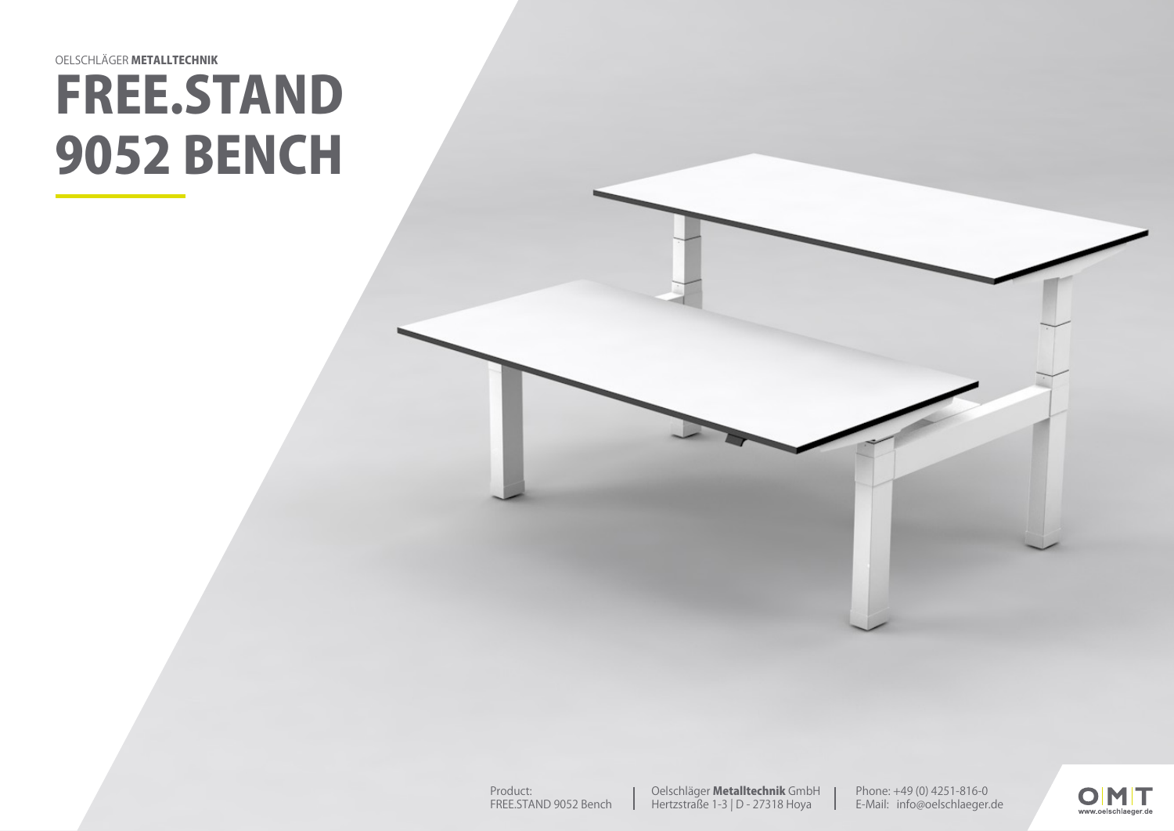## FREE.STAND 9052 BENCH OELSCHLÄGER METALLTECHNIK

Phone: +49 (0) 4251-816-0 E-Mail: info@oelschlaeger.de

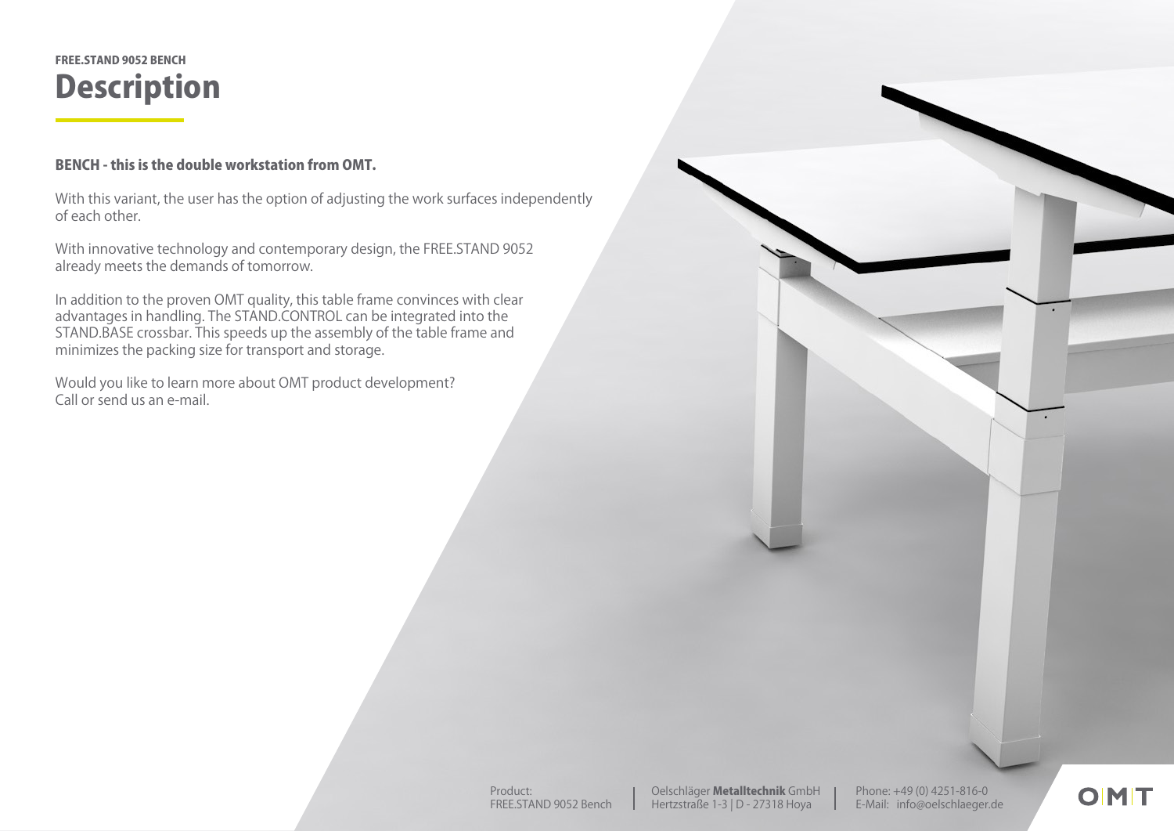## **Description** FREE.STAND 9052 BENCH

## BENCH - this is the double workstation from OMT.

With this variant, the user has the option of adjusting the work surfaces independently of each other.

With innovative technology and contemporary design, the FREE.STAND 9052 already meets the demands of tomorrow.

In addition to the proven OMT quality, this table frame convinces with clear advantages in handling. The STAND.CONTROL can be integrated into the STAND.BASE crossbar. This speeds up the assembly of the table frame and minimizes the packing size for transport and storage.

Would you like to learn more about OMT product development? Call or send us an e-mail.

Phone: +49 (0) 4251-816-0 E-Mail: info@oelschlaeger.de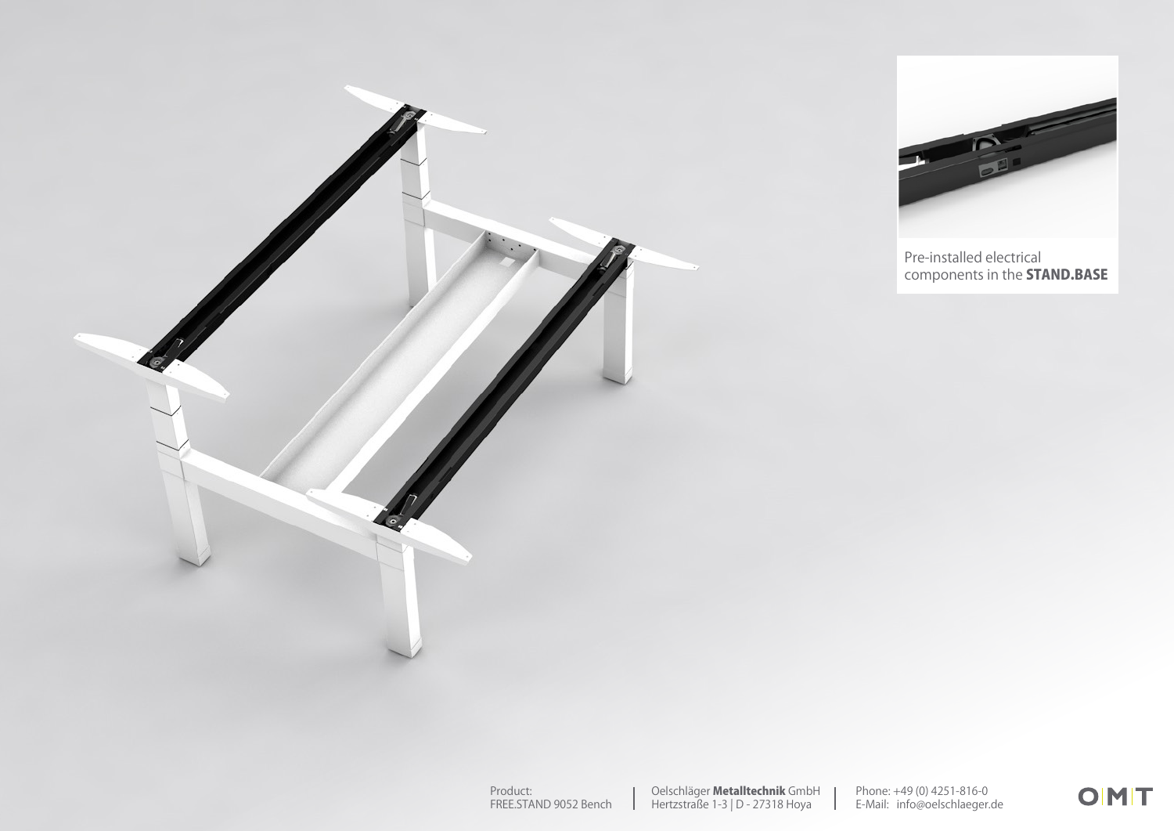



Pre-installed electrical components in the **STAND.BASE**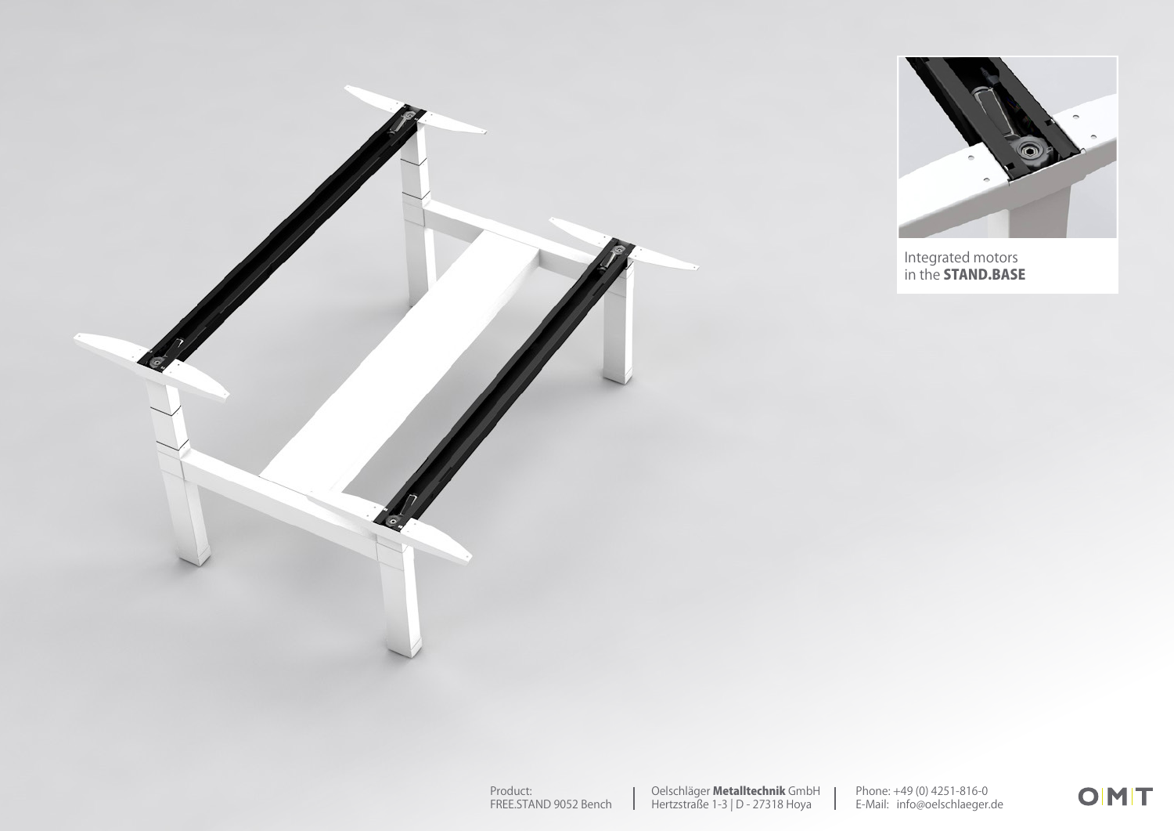



Integrated motors in the **STAND.BASE**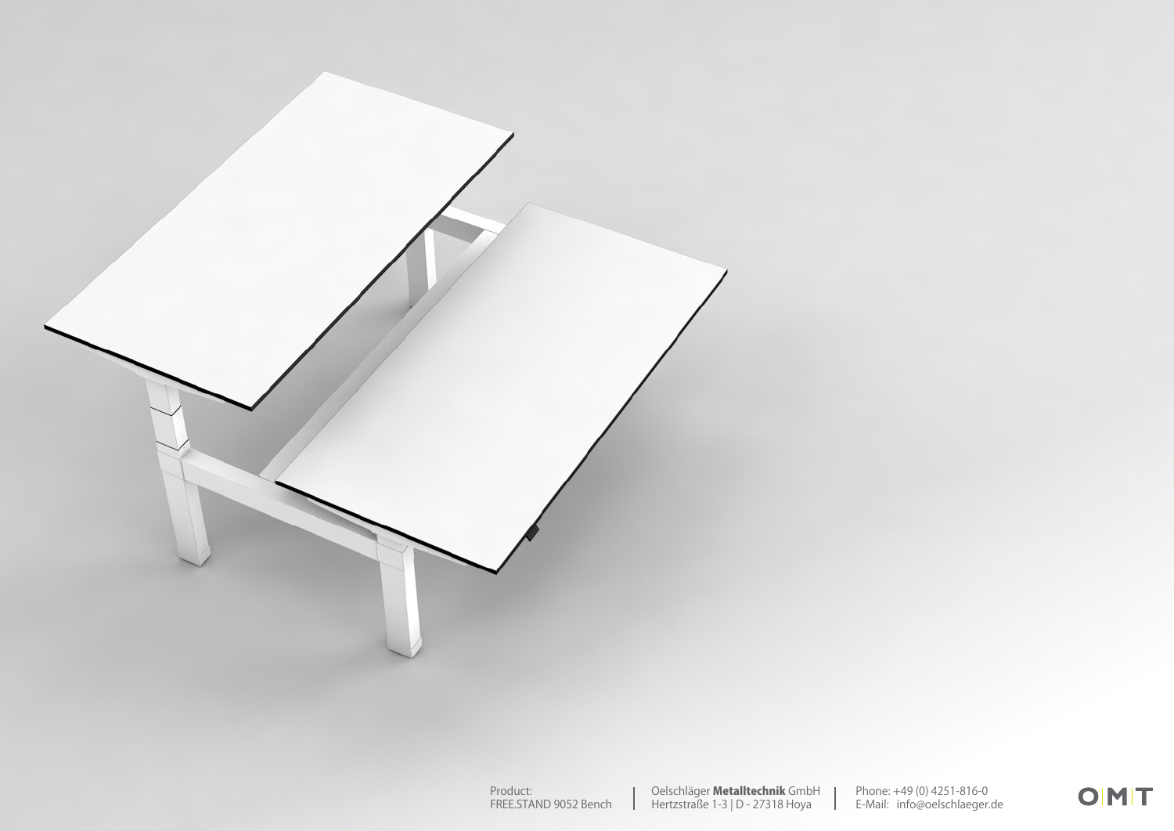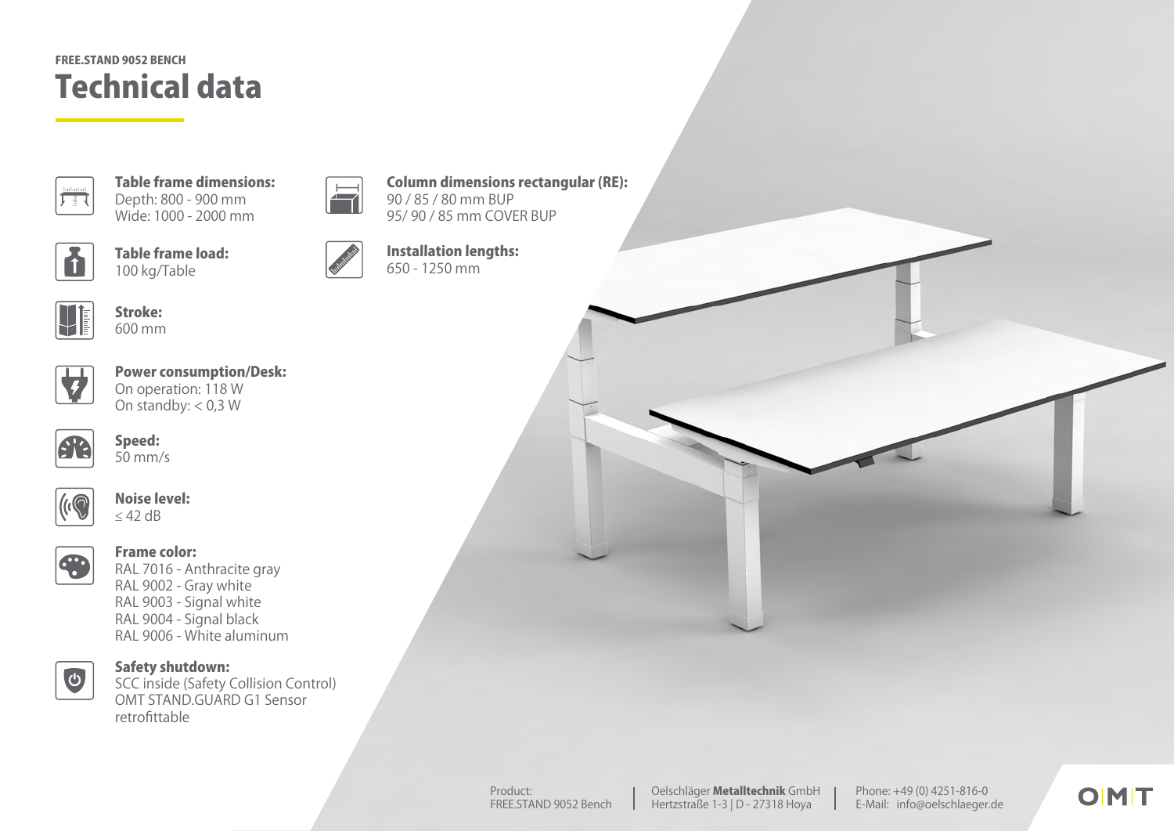## Technical data FREE.STAND 9052 BENCH



Table frame dimensions: Depth: 800 - 900 mm Wide: 1000 - 2000 mm



Table frame load: 100 kg/Table



 $\overline{\blacksquare}$ 

Installation lengths: 650 - 1250 mm

90 / 85 / 80 mm BUP 95/ 90 / 85 mm COVER BUP

Column dimensions rectangular (RE):



Stroke: 600 mm



Power consumption/Desk: On operation: 118 W On standby:  $< 0.3 W$ 



Speed: 50 mm/s



Noise level: ≤ 42 dB



Frame color:

RAL 7016 - Anthracite gray RAL 9002 - Gray white RAL 9003 - Signal white RAL 9004 - Signal black RAL 9006 - White aluminum



Safety shutdown:

SCC inside (Safety Collision Control) OMT STAND.GUARD G1 Sensor retrofittable

Phone: +49 (0) 4251-816-0 E-Mail: info@oelschlaeger.de